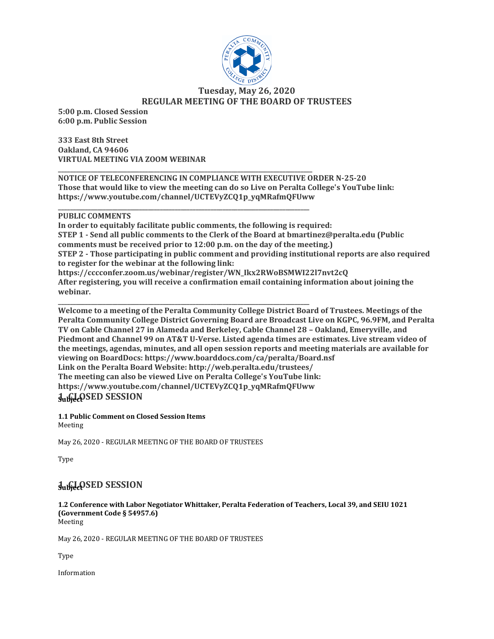

### **Tuesday, May 26, 2020 REGULAR MEETING OF THE BOARD OF TRUSTEES**

**5:00 p.m. Closed Session 6:00 p.m. Public Session**

**333 East 8th Street Oakland, CA 94606 VIRTUAL MEETING VIA ZOOM WEBINAR**

**\_\_\_\_\_\_\_\_\_\_\_\_\_\_\_\_\_\_\_\_\_\_\_\_\_\_\_\_\_\_\_\_\_\_\_\_\_\_\_\_\_\_\_\_\_\_\_\_\_\_\_\_\_\_\_\_\_\_\_\_\_\_\_\_\_\_\_\_\_\_\_\_\_\_\_\_\_\_\_\_\_\_\_\_\_ NOTICE OF TELECONFERENCING IN COMPLIANCE WITH EXECUTIVE ORDER N-25-20 Those that would like to view the meeting can do so Live on Peralta College's YouTube link: https://www.youtube.com/channel/UCTEVyZCQ1p\_yqMRafmQFUww**

**\_\_\_\_\_\_\_\_\_\_\_\_\_\_\_\_\_\_\_\_\_\_\_\_\_\_\_\_\_\_\_\_\_\_\_\_\_\_\_\_\_\_\_\_\_\_\_\_\_\_\_\_\_\_\_\_\_\_\_\_\_\_\_\_\_\_\_\_\_\_\_\_\_\_\_\_\_\_\_\_\_\_\_\_**

### **PUBLIC COMMENTS**

**In order to equitably facilitate public comments, the following is required: STEP 1 - Send all public comments to the Clerk of the Board at bmartinez@peralta.edu (Public comments must be received prior to 12:00 p.m. on the day of the meeting.) STEP 2 - Those participating in public comment and providing institutional reports are also required to register for the webinar at the following link: https://cccconfer.zoom.us/webinar/register/WN\_Ikx2RWoBSMWI22l7nvt2cQ After registering, you will receive a confirmation email containing information about joining the webinar.**

**\_\_\_\_\_\_\_\_\_\_\_\_\_\_\_\_\_\_\_\_\_\_\_\_\_\_\_\_\_\_\_\_\_\_\_\_\_\_\_\_\_\_\_\_\_\_\_\_\_\_\_\_\_\_\_\_\_\_\_\_\_\_\_\_\_\_\_\_\_\_\_\_\_\_\_\_\_\_\_\_\_\_\_\_ Welcome to a meeting of the Peralta Community College District Board of Trustees. Meetings of the Peralta Community College District Governing Board are Broadcast Live on KGPC, 96.9FM, and Peralta TV on Cable Channel 27 in Alameda and Berkeley, Cable Channel 28 – Oakland, Emeryville, and Piedmont and Channel 99 on AT&T U-Verse. Listed agenda times are estimates. Live stream video of the meetings, agendas, minutes, and all open session reports and meeting materials are available for viewing on BoardDocs: https://www.boarddocs.com/ca/peralta/Board.nsf Link on the Peralta Board Website: http://web.peralta.edu/trustees/ The meeting can also be viewed Live on Peralta College's YouTube link: https://www.youtube.com/channel/UCTEVyZCQ1p\_yqMRafmQFUww 1. Subject SESSION** 

**1.1 Public Comment on Closed Session Items** Meeting

May 26, 2020 - REGULAR MEETING OF THE BOARD OF TRUSTEES

Type

## **1. CLOSED Subject SESSION**

**1.2 Conference with Labor Negotiator Whittaker, Peralta Federation of Teachers, Local 39, and SEIU 1021 (Government Code § 54957.6)** Meeting

May 26, 2020 - REGULAR MEETING OF THE BOARD OF TRUSTEES

Type

Information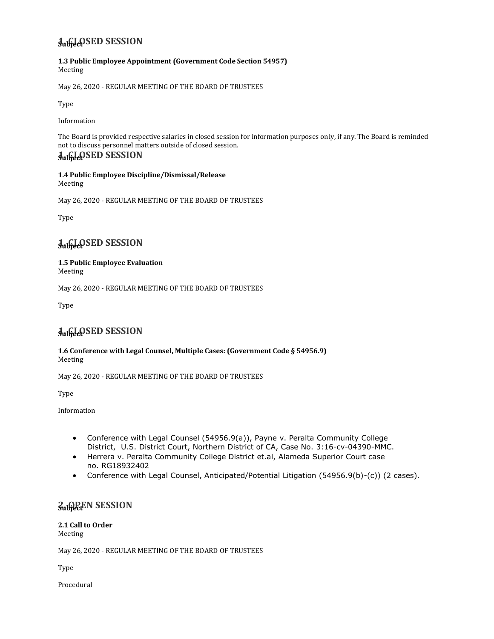## **1. CLOSED Subject SESSION**

**1.3 Public Employee Appointment (Government Code Section 54957)** Meeting

May 26, 2020 - REGULAR MEETING OF THE BOARD OF TRUSTEES

Type

Information

The Board is provided respective salaries in closed session for information purposes only, if any. The Board is reminded not to discuss personnel matters outside of closed session.

## **1. GLOSED SESSION**

**1.4 Public Employee Discipline/Dismissal/Release** Meeting

May 26, 2020 - REGULAR MEETING OF THE BOARD OF TRUSTEES

Type

## **1. CLOSED Subject SESSION**

**1.5 Public Employee Evaluation** Meeting

May 26, 2020 - REGULAR MEETING OF THE BOARD OF TRUSTEES

Type

## **1. GLOSED SESSION**

#### **1.6 Conference with Legal Counsel, Multiple Cases: (Government Code § 54956.9)** Meeting

May 26, 2020 - REGULAR MEETING OF THE BOARD OF TRUSTEES

Type

Information

- Conference with Legal Counsel (54956.9(a)), Payne v. Peralta Community College District, U.S. District Court, Northern District of CA, Case No. 3:16-cv-04390-MMC.
- Herrera v. Peralta Community College District et.al, Alameda Superior Court case no. RG18932402
- Conference with Legal Counsel, Anticipated/Potential Litigation (54956.9(b)-(c)) (2 cases).

## **2. DEEPS SESSION**

**2.1 Call to Order** Meeting

May 26, 2020 - REGULAR MEETING OF THE BOARD OF TRUSTEES

Type

Procedural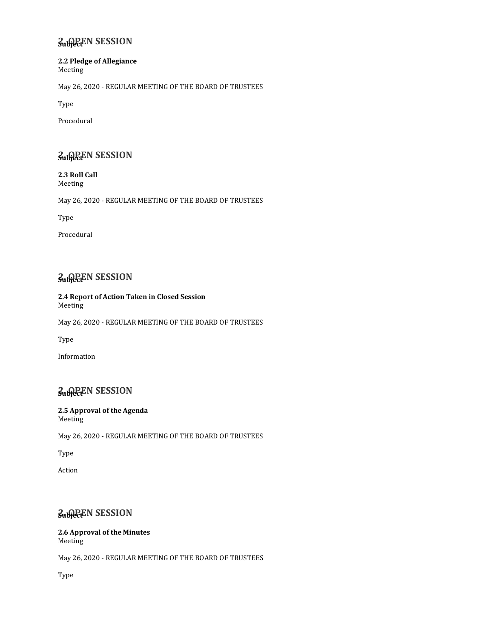## **2. OPEN SESSION Subject**

#### **2.2 Pledge of Allegiance** Meeting

May 26, 2020 - REGULAR MEETING OF THE BOARD OF TRUSTEES

Type

Procedural

## **2. OPEN SESSION Subject**

**2.3 Roll Call** Meeting

May 26, 2020 - REGULAR MEETING OF THE BOARD OF TRUSTEES

Type

Procedural

## **2. OPEN SESSION**

**2.4 Report of Action Taken in Closed Session** Meeting

May 26, 2020 - REGULAR MEETING OF THE BOARD OF TRUSTEES

Type

Information

## $2u$ *b*<sub>e</sub><sup>*R*</sup>**EXSION**

#### **2.5 Approval of the Agenda** Meeting

May 26, 2020 - REGULAR MEETING OF THE BOARD OF TRUSTEES

Type

Action

## **2. OPEN SESSION Subject**

#### **2.6 Approval of the Minutes** Meeting

May 26, 2020 - REGULAR MEETING OF THE BOARD OF TRUSTEES

Type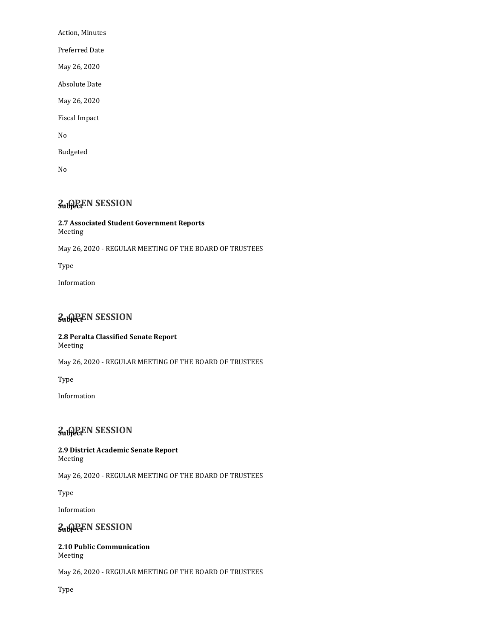Action, Minutes

Preferred Date

May 26, 2020

Absolute Date

May 26, 2020

Fiscal Impact

No

Budgeted

No

## **2. OPEN SESSION Subject**

#### **2.7 Associated Student Government Reports** Meeting

May 26, 2020 - REGULAR MEETING OF THE BOARD OF TRUSTEES

Type

Information

## **2. OBJECT SESSION**

#### **2.8 Peralta Classified Senate Report** Meeting

May 26, 2020 - REGULAR MEETING OF THE BOARD OF TRUSTEES

Type

Information

## **2. OPEN SESSION Subject**

#### **2.9 District Academic Senate Report** Meeting

May 26, 2020 - REGULAR MEETING OF THE BOARD OF TRUSTEES

Type

Information

## **2. OPEN SESSION Subject**

#### **2.10 Public Communication** Meeting

May 26, 2020 - REGULAR MEETING OF THE BOARD OF TRUSTEES

Type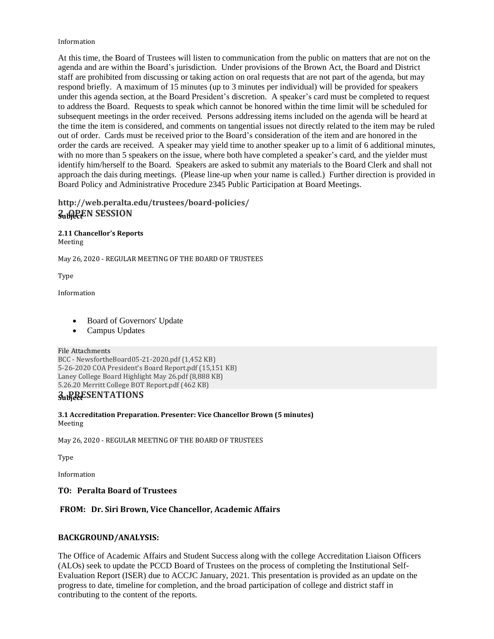#### Information

At this time, the Board of Trustees will listen to communication from the public on matters that are not on the agenda and are within the Board's jurisdiction. Under provisions of the Brown Act, the Board and District staff are prohibited from discussing or taking action on oral requests that are not part of the agenda, but may respond briefly. A maximum of 15 minutes (up to 3 minutes per individual) will be provided for speakers under this agenda section, at the Board President's discretion. A speaker's card must be completed to request to address the Board. Requests to speak which cannot be honored within the time limit will be scheduled for subsequent meetings in the order received. Persons addressing items included on the agenda will be heard at the time the item is considered, and comments on tangential issues not directly related to the item may be ruled out of order. Cards must be received prior to the Board's consideration of the item and are honored in the order the cards are received. A speaker may yield time to another speaker up to a limit of 6 additional minutes, with no more than 5 speakers on the issue, where both have completed a speaker's card, and the yielder must identify him/herself to the Board. Speakers are asked to submit any materials to the Board Clerk and shall not approach the dais during meetings. (Please line-up when your name is called.) Further direction is provided in Board Policy and Administrative Procedure 2345 Public Participation at Board Meetings.

### **<http://web.peralta.edu/trustees/board-policies/> 2. OPEN SESSION**

#### **2.11 Chancellor's Reports** Meeting

May 26, 2020 - REGULAR MEETING OF THE BOARD OF TRUSTEES

Type

Information

- Board of Governors' Update
- Campus Updates

#### File Attachments

```
BCC - NewsfortheBoard05-21-2020.pdf (1,452 KB)
5-26-2020 COA President's Board Report.pdf (15,151 KB)
Laney College Board Highlight May 26.pdf (8,888 KB)
5.26.20 Merritt College BOT Report.pdf (462 KB)
```
## **3. PRESENTATIONS**

**3.1 Accreditation Preparation. Presenter: Vice Chancellor Brown (5 minutes)** Meeting

May 26, 2020 - REGULAR MEETING OF THE BOARD OF TRUSTEES

Type

Information

### **TO: Peralta Board of Trustees**

### **FROM: Dr. Siri Brown, Vice Chancellor, Academic Affairs**

### **BACKGROUND/ANALYSIS:**

The Office of Academic Affairs and Student Success along with the college Accreditation Liaison Officers (ALOs) seek to update the PCCD Board of Trustees on the process of completing the Institutional Self-Evaluation Report (ISER) due to ACCJC January, 2021. This presentation is provided as an update on the progress to date, timeline for completion, and the broad participation of college and district staff in contributing to the content of the reports.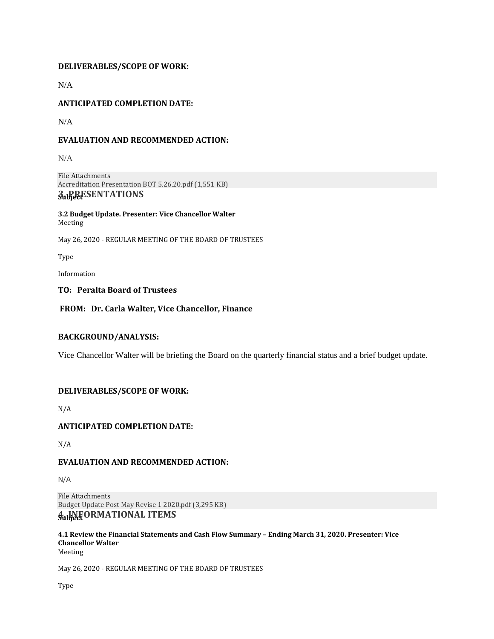### **DELIVERABLES/SCOPE OF WORK:**

N/A

### **ANTICIPATED COMPLETION DATE:**

N/A

### **EVALUATION AND RECOMMENDED ACTION:**

 $N/A$ 

File Attachments [Accreditation](https://go.boarddocs.com/ca/peralta/Board.nsf/files/BPTQZB6BB474/$file/Accreditation%20Presentation%20BOT%205.26.20.pdf) Presentation BOT 5.26.20.pdf (1,551 KB) **3. PRESENTATIONS** 

#### **3.2 Budget Update. Presenter: Vice Chancellor Walter** Meeting

May 26, 2020 - REGULAR MEETING OF THE BOARD OF TRUSTEES

Type

Information

### **TO: Peralta Board of Trustees**

### **FROM: Dr. Carla Walter, Vice Chancellor, Finance**

### **BACKGROUND/ANALYSIS:**

Vice Chancellor Walter will be briefing the Board on the quarterly financial status and a brief budget update.

### **DELIVERABLES/SCOPE OF WORK:**

N/A

### **ANTICIPATED COMPLETION DATE:**

N/A

### **EVALUATION AND RECOMMENDED ACTION:**

N/A

File Attachments Budget Update Post May Revise 1 [2020.pdf](https://go.boarddocs.com/ca/peralta/Board.nsf/files/BPUUCX7B7840/$file/Budget%20Update%20Post%20May%20Revise%201%202020.pdf) (3,295 KB) **4. INFORMATIONAL ITEMS Subject**

**4.1 Review the Financial Statements and Cash Flow Summary – Ending March 31, 2020. Presenter: Vice Chancellor Walter** Meeting

May 26, 2020 - REGULAR MEETING OF THE BOARD OF TRUSTEES

Type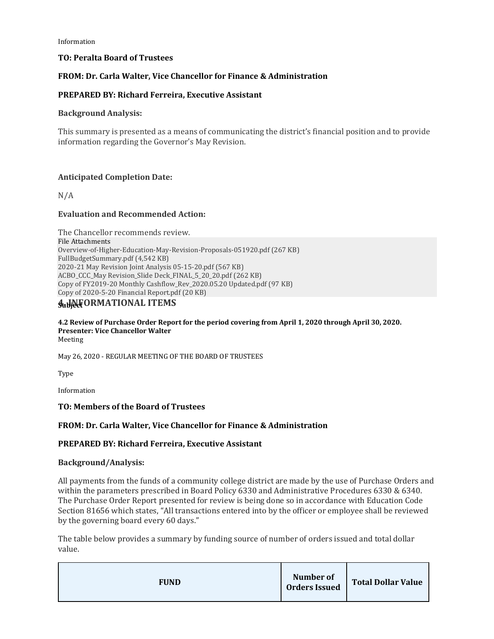Information

### **TO: Peralta Board of Trustees**

### **FROM: Dr. Carla Walter, Vice Chancellor for Finance & Administration**

### **PREPARED BY: Richard Ferreira, Executive Assistant**

### **Background Analysis:**

This summary is presented as a means of communicating the district's financial position and to provide information regarding the Governor's May Revision.

### **Anticipated Completion Date:**

N/A

### **Evaluation and Recommended Action:**

The Chancellor recommends review. File Attachments [Overview-of-Higher-Education-May-Revision-Proposals-051920.pdf](https://go.boarddocs.com/ca/peralta/Board.nsf/files/BPSQY565C00C/$file/Overview-of-Higher-Education-May-Revision-Proposals-051920.pdf) (267 KB) [FullBudgetSummary.pdf](https://go.boarddocs.com/ca/peralta/Board.nsf/files/BPSQZJ65DD1B/$file/FullBudgetSummary.pdf) (4,542 KB) 2020-21 May Revision Joint Analysis [05-15-20.pdf](https://go.boarddocs.com/ca/peralta/Board.nsf/files/BPSR2865F3AE/$file/2020-21%20May%20Revision%20Joint%20Analysis%2005-15-20.pdf) (567 KB) ACBO\_CCC\_May Revision\_Slide [Deck\\_FINAL\\_5\\_20\\_20.pdf](https://go.boarddocs.com/ca/peralta/Board.nsf/files/BPT2PS032EC8/$file/ACBO_CCC_May%20Revision_Slide%20Deck_FINAL_5_20_20.pdf) (262 KB) Copy of FY2019-20 Monthly [Cashflow\\_Rev\\_2020.05.20](https://go.boarddocs.com/ca/peralta/Board.nsf/files/BPTTGJ77340C/$file/Copy%20of%20FY2019-20%20Monthly%20Cashflow_Rev_2020.05.20%20Updated.pdf) Updated.pdf (97 KB) Copy of [2020-5-20](https://go.boarddocs.com/ca/peralta/Board.nsf/files/BPTTGN773AD4/$file/Copy%20of%202020-5-20%20Financial%20Report.pdf) Financial Report.pdf (20 KB)

## **4. INFORMATIONAL ITEMS Subject**

#### **4.2 Review of Purchase Order Report for the period covering from April 1, 2020 through April 30, 2020. Presenter: Vice Chancellor Walter** Meeting

May 26, 2020 - REGULAR MEETING OF THE BOARD OF TRUSTEES

Type

Information

### **TO: Members of the Board of Trustees**

### **FROM: Dr. Carla Walter, Vice Chancellor for Finance & Administration**

### **PREPARED BY: Richard Ferreira, Executive Assistant**

### **Background/Analysis:**

All payments from the funds of a community college district are made by the use of Purchase Orders and within the parameters prescribed in Board Policy 6330 and Administrative Procedures 6330 & 6340. The Purchase Order Report presented for review is being done so in accordance with Education Code Section 81656 which states, "All transactions entered into by the officer or employee shall be reviewed by the governing board every 60 days."

The table below provides a summary by funding source of number of orders issued and total dollar value.

| <b>FUND</b> | Number of<br><b>Orders Issued</b> | <b>Total Dollar Value</b> |
|-------------|-----------------------------------|---------------------------|
|-------------|-----------------------------------|---------------------------|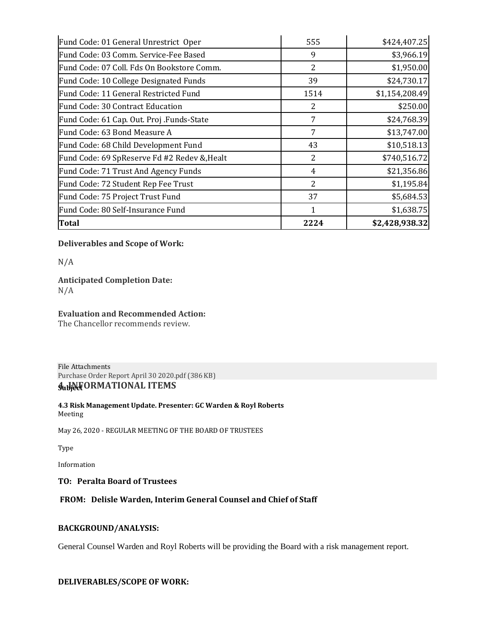| Fund Code: 01 General Unrestrict Oper       | 555  | \$424,407.25   |
|---------------------------------------------|------|----------------|
| Fund Code: 03 Comm. Service-Fee Based       | 9    | \$3,966.19     |
| Fund Code: 07 Coll. Fds On Bookstore Comm.  | 2    | \$1,950.00     |
| Fund Code: 10 College Designated Funds      | 39   | \$24,730.17    |
| Fund Code: 11 General Restricted Fund       | 1514 | \$1,154,208.49 |
| Fund Code: 30 Contract Education            | 2    | \$250.00       |
| Fund Code: 61 Cap. Out. Proj. Funds-State   | 7    | \$24,768.39    |
| Fund Code: 63 Bond Measure A                | 7    | \$13,747.00    |
| Fund Code: 68 Child Development Fund        | 43   | \$10,518.13    |
| Fund Code: 69 SpReserve Fd #2 Redev & Healt | 2    | \$740,516.72   |
| Fund Code: 71 Trust And Agency Funds        | 4    | \$21,356.86    |
| Fund Code: 72 Student Rep Fee Trust         | 2    | \$1,195.84     |
| Fund Code: 75 Project Trust Fund            | 37   | \$5,684.53     |
| Fund Code: 80 Self-Insurance Fund           | 1    | \$1,638.75     |
| <b>Total</b>                                | 2224 | \$2,428,938.32 |

### **Deliverables and Scope of Work:**

N/A

## **Anticipated Completion Date:**

 $N/A$ 

### **Evaluation and Recommended Action:**

The Chancellor recommends review.

File Attachments [Purchase](https://go.boarddocs.com/ca/peralta/Board.nsf/files/BPAU9X7B078D/$file/Purchase%20Order%20Report%20April%2030%202020.pdf) Order Report April 30 2020.pdf (386 KB) *<del>Subject</del>* ORMATIONAL ITEMS

**4.3 Risk Management Update. Presenter: GC Warden & Royl Roberts** Meeting

May 26, 2020 - REGULAR MEETING OF THE BOARD OF TRUSTEES

Type

Information

### **TO: Peralta Board of Trustees**

### **FROM: Delisle Warden, Interim General Counsel and Chief of Staff**

### **BACKGROUND/ANALYSIS:**

General Counsel Warden and Royl Roberts will be providing the Board with a risk management report.

### **DELIVERABLES/SCOPE OF WORK:**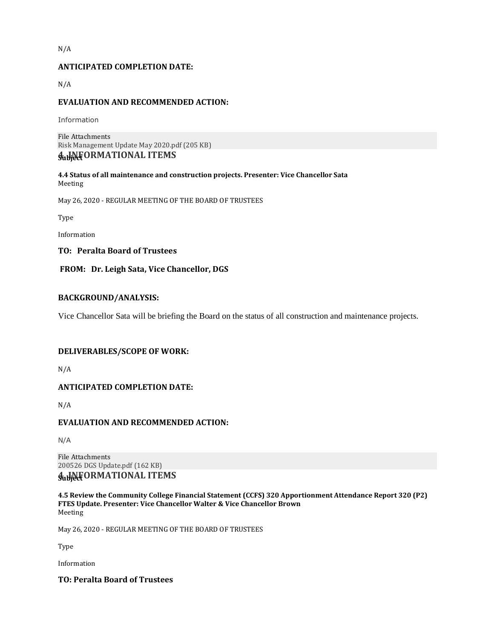### **ANTICIPATED COMPLETION DATE:**

N/A

### **EVALUATION AND RECOMMENDED ACTION:**

Information

File Attachments Risk [Management](https://go.boarddocs.com/ca/peralta/Board.nsf/files/BPUPGJ647C06/$file/Risk%20Management%20Update%20May%202020.pdf) Update May 2020.pdf (205 KB) **4. INFORMATIONAL ITEMS Subject**

**4.4 Status of all maintenance and construction projects. Presenter: Vice Chancellor Sata** Meeting

May 26, 2020 - REGULAR MEETING OF THE BOARD OF TRUSTEES

Type

Information

**TO: Peralta Board of Trustees**

**FROM: Dr. Leigh Sata, Vice Chancellor, DGS**

### **BACKGROUND/ANALYSIS:**

Vice Chancellor Sata will be briefing the Board on the status of all construction and maintenance projects.

### **DELIVERABLES/SCOPE OF WORK:**

N/A

### **ANTICIPATED COMPLETION DATE:**

N/A

### **EVALUATION AND RECOMMENDED ACTION:**

N/A

File Attachments 200526 DGS [Update.pdf](https://go.boarddocs.com/ca/peralta/Board.nsf/files/BPV2M802CF14/$file/200526%20DGS%20Update.pdf) (162 KB) **4. INFORMATIONAL ITEMS** 

**4.5 Review the Community College Financial Statement (CCFS) 320 Apportionment Attendance Report 320 (P2) FTES Update. Presenter: Vice Chancellor Walter & Vice Chancellor Brown** Meeting

May 26, 2020 - REGULAR MEETING OF THE BOARD OF TRUSTEES

Type

Information

### **TO: Peralta Board of Trustees**

N/A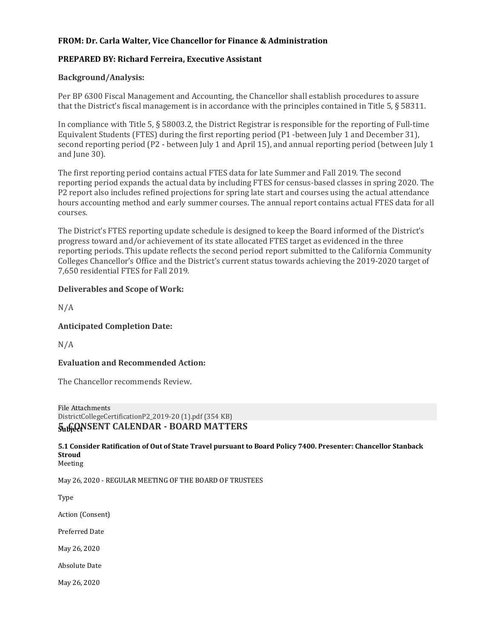### **FROM: Dr. Carla Walter, Vice Chancellor for Finance & Administration**

### **PREPARED BY: Richard Ferreira, Executive Assistant**

### **Background/Analysis:**

Per BP 6300 Fiscal Management and Accounting, the Chancellor shall establish procedures to assure that the District's fiscal management is in accordance with the principles contained in Title 5, § 58311.

In compliance with Title 5, § 58003.2, the District Registrar is responsible for the reporting of Full-time Equivalent Students (FTES) during the first reporting period (P1 -between July 1 and December 31), second reporting period (P2 - between July 1 and April 15), and annual reporting period (between July 1 and June 30).

The first reporting period contains actual FTES data for late Summer and Fall 2019. The second reporting period expands the actual data by including FTES for census-based classes in spring 2020. The P2 report also includes refined projections for spring late start and courses using the actual attendance hours accounting method and early summer courses. The annual report contains actual FTES data for all courses.

The District's FTES reporting update schedule is designed to keep the Board informed of the District's progress toward and/or achievement of its state allocated FTES target as evidenced in the three reporting periods. This update reflects the second period report submitted to the California Community Colleges Chancellor's Office and the District's current status towards achieving the 2019-2020 target of 7,650 residential FTES for Fall 2019.

### **Deliverables and Scope of Work:**

N/A

### **Anticipated Completion Date:**

N/A

### **Evaluation and Recommended Action:**

The Chancellor recommends Review.

File Attachments [DistrictCollegeCertificationP2\\_2019-20](https://go.boarddocs.com/ca/peralta/Board.nsf/files/BPBR5V6AD6D9/$file/DistrictCollegeCertificationP2_2019-20%20(1).pdf) (1).pdf (354 KB) **5. CONSENT CALENDAR Subject - BOARD MATTERS**

**5.1 Consider Ratification of Out of State Travel pursuant to Board Policy 7400. Presenter: Chancellor Stanback Stroud** Meeting

May 26, 2020 - REGULAR MEETING OF THE BOARD OF TRUSTEES

Type

Action (Consent)

Preferred Date

May 26, 2020

Absolute Date

May 26, 2020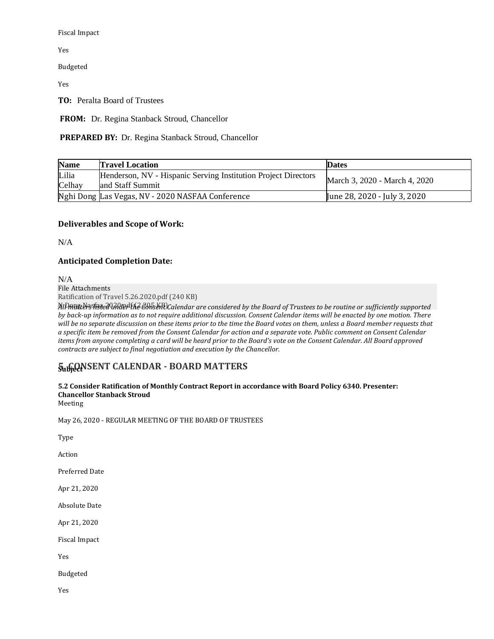Fiscal Impact

Yes

Budgeted

Yes

**TO:** Peralta Board of Trustees

**FROM:** Dr. Regina Stanback Stroud, Chancellor

### **PREPARED BY:** Dr. Regina Stanback Stroud, Chancellor

| <b>Name</b>     | <b>Travel Location</b>                                                             | <b>Dates</b>                  |
|-----------------|------------------------------------------------------------------------------------|-------------------------------|
| Lilia<br>Celhay | Henderson, NV - Hispanic Serving Institution Project Directors<br>and Staff Summit | March 3, 2020 - March 4, 2020 |
|                 | Nghi Dong Las Vegas, NV - 2020 NASFAA Conference                                   | June 28, 2020 - July 3, 2020  |

### **Deliverables and Scope of Work:**

N/A

### **Anticipated Completion Date:**

N/A

File Attachments Ratification of Travel [5.26.2020.pdf](https://go.boarddocs.com/ca/peralta/Board.nsf/files/BPRQBY68947D/$file/Ratification%20of%20Travel%205.26.2020.pdf) (240 KB)

N*[All matters listed under the Consent C](https://go.boarddocs.com/ca/peralta/Board.nsf/files/BPRSWC74A541/$file/N%20Dong%20Nasfaa%202020.pdf)alendar are considered by the Board of Trustees to be routine or* Dong Nasfaa 2020.pdf (2,205 KB) *sufficiently supported by back-up information as to not require additional discussion. Consent Calendar items will be enacted by one motion. There will be no separate discussion on these items prior to the time the Board votes on them, unless a Board member requests that a specific item be removed from the Consent Calendar for action and a separate vote. Public comment on Consent Calendar items from anyone completing a card will be heard prior to the Board's vote on the Consent Calendar. All Board approved contracts are subject to final negotiation and execution by the Chancellor.*

## $\overline{\mathbf{S}}$ ubiection CALENDAR **·** BOARD MATTERS

### **5.2 Consider Ratification of Monthly Contract Report in accordance with Board Policy 6340. Presenter: Chancellor Stanback Stroud**

Meeting

May 26, 2020 - REGULAR MEETING OF THE BOARD OF TRUSTEES

Type

Action

Preferred Date

Apr 21, 2020

Absolute Date

Apr 21, 2020

Fiscal Impact

Yes

Budgeted

Yes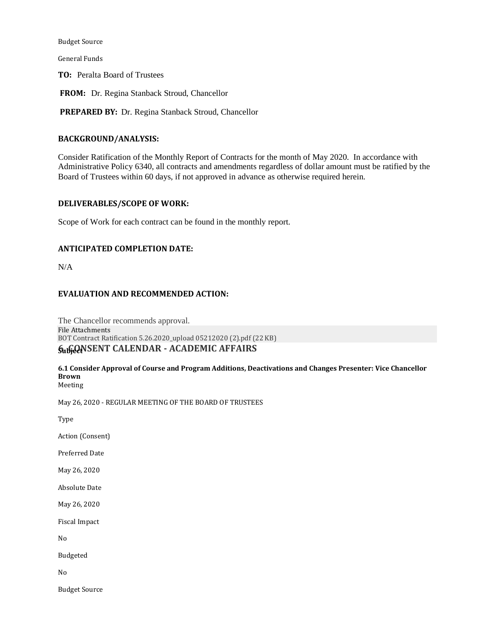Budget Source

General Funds

**TO:** Peralta Board of Trustees

**FROM:** Dr. Regina Stanback Stroud, Chancellor

**PREPARED BY:** Dr. Regina Stanback Stroud, Chancellor

#### **BACKGROUND/ANALYSIS:**

Consider Ratification of the Monthly Report of Contracts for the month of May 2020. In accordance with Administrative Policy 6340, all contracts and amendments regardless of dollar amount must be ratified by the Board of Trustees within 60 days, if not approved in advance as otherwise required herein.

#### **DELIVERABLES/SCOPE OF WORK:**

Scope of Work for each contract can be found in the monthly report.

### **ANTICIPATED COMPLETION DATE:**

N/A

### **EVALUATION AND RECOMMENDED ACTION:**

The Chancellor recommends approval. File Attachments BOT Contract Ratification [5.26.2020\\_upload](https://go.boarddocs.com/ca/peralta/Board.nsf/files/BPUQPU6A1B48/$file/BOT%20Contract%20Ratification%205.26.2020_upload%2005212020%20(2).pdf) 05212020 (2).pdf (22 KB)  $\int_{\mathbb{R}} \int_{\mathbb{R}} \mathbb{Q} \cdot \mathbb{P} \cdot \mathbb{P} \cdot \mathbb{P} \cdot \mathbb{P} \cdot \mathbb{P} \cdot \mathbb{P} \cdot \mathbb{P} \cdot \mathbb{P} \cdot \mathbb{P} \cdot \mathbb{P} \cdot \mathbb{P} \cdot \mathbb{P} \cdot \mathbb{P} \cdot \mathbb{P} \cdot \mathbb{P} \cdot \mathbb{P} \cdot \mathbb{P} \cdot \mathbb{P} \cdot \mathbb{P} \cdot \mathbb{P} \cdot \mathbb{P} \cdot \mathbb{P} \cdot \mathbb{P} \cdot \mathbb{P} \cdot \mathbb$ 

## **6.1 Consider Approval of Course and Program Additions, Deactivations and Changes Presenter: Vice Chancellor Brown**

Meeting

May 26, 2020 - REGULAR MEETING OF THE BOARD OF TRUSTEES

Type

Action (Consent)

Preferred Date

May 26, 2020

Absolute Date

May 26, 2020

Fiscal Impact

No

Budgeted

No

Budget Source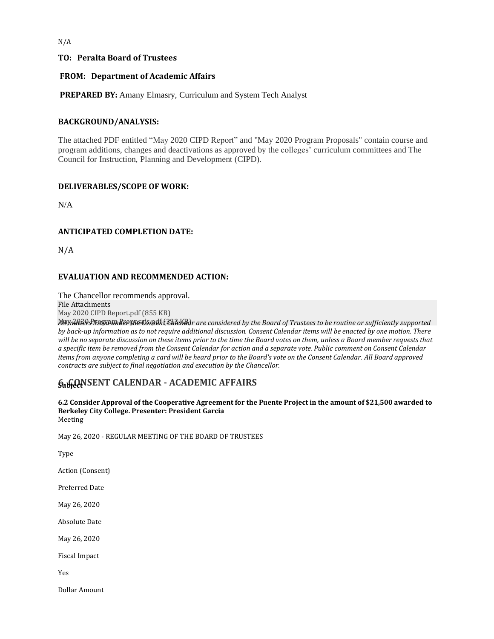### N/A

### **TO: Peralta Board of Trustees**

### **FROM: Department of Academic Affairs**

**PREPARED BY:** Amany Elmasry, Curriculum and System Tech Analyst

### **BACKGROUND/ANALYSIS:**

The attached PDF entitled "May 2020 CIPD Report" and "May 2020 Program Proposals" contain course and program additions, changes and deactivations as approved by the colleges' curriculum committees and The Council for Instruction, Planning and Development (CIPD).

### **DELIVERABLES/SCOPE OF WORK:**

N/A

### **ANTICIPATED COMPLETION DATE:**

N/A

### **EVALUATION AND RECOMMENDED ACTION:**

The Chancellor recommends approval.

File Attachments

May 2020 CIPD [Report.pdf](https://go.boarddocs.com/ca/peralta/Board.nsf/files/BPCRMP6E76E4/$file/May%202020%20CIPD%20Report.pdf) (855 KB)

May *[All matters listed under the Consent Calendar](https://go.boarddocs.com/ca/peralta/Board.nsf/files/BPCRMV6E7DF3/$file/May%202020%20Program%20Proposals.pdf) are considered by the Board of Trust* 2020 Program Proposals.pdf (333 KB) *ees to be routine or sufficiently supported by back-up information as to not require additional discussion. Consent Calendar items will be enacted by one motion. There will be no separate discussion on these items prior to the time the Board votes on them, unless a Board member requests that a specific item be removed from the Consent Calendar for action and a separate vote. Public comment on Consent Calendar items from anyone completing a card will be heard prior to the Board's vote on the Consent Calendar. All Board approved contracts are subject to final negotiation and execution by the Chancellor.*

## **6. G.CONSENT CALENDAR - ACADEMIC AFFAIRS**

**6.2 Consider Approval of the Cooperative Agreement for the Puente Project in the amount of \$21,500 awarded to Berkeley City College. Presenter: President Garcia** Meeting

May 26, 2020 - REGULAR MEETING OF THE BOARD OF TRUSTEES

Type

Action (Consent)

Preferred Date

May 26, 2020

Absolute Date

May 26, 2020

Fiscal Impact

Yes

Dollar Amount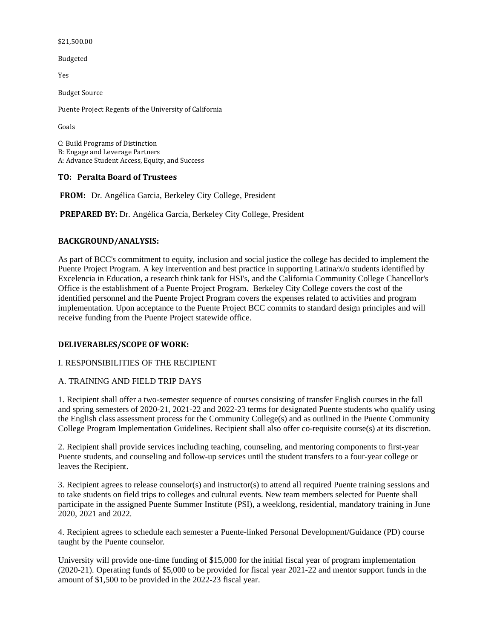#### \$21,500.00

Budgeted

Yes

Budget Source

Puente Project Regents of the University of California

Goals

C: Build Programs of Distinction B: Engage and Leverage Partners A: Advance Student Access, Equity, and Success

### **TO: Peralta Board of Trustees**

**FROM:** Dr. Angélica Garcia, Berkeley City College, President

**PREPARED BY:** Dr. Angélica Garcia, Berkeley City College, President

### **BACKGROUND/ANALYSIS:**

As part of BCC's commitment to equity, inclusion and social justice the college has decided to implement the Puente Project Program. A key intervention and best practice in supporting Latina/x/o students identified by Excelencia in Education, a research think tank for HSI's, and the California Community College Chancellor's Office is the establishment of a Puente Project Program. Berkeley City College covers the cost of the identified personnel and the Puente Project Program covers the expenses related to activities and program implementation. Upon acceptance to the Puente Project BCC commits to standard design principles and will receive funding from the Puente Project statewide office.

### **DELIVERABLES/SCOPE OF WORK:**

### I. RESPONSIBILITIES OF THE RECIPIENT

### A. TRAINING AND FIELD TRIP DAYS

1. Recipient shall offer a two-semester sequence of courses consisting of transfer English courses in the fall and spring semesters of 2020-21, 2021-22 and 2022-23 terms for designated Puente students who qualify using the English class assessment process for the Community College(s) and as outlined in the Puente Community College Program Implementation Guidelines. Recipient shall also offer co-requisite course(s) at its discretion.

2. Recipient shall provide services including teaching, counseling, and mentoring components to first-year Puente students, and counseling and follow-up services until the student transfers to a four-year college or leaves the Recipient.

3. Recipient agrees to release counselor(s) and instructor(s) to attend all required Puente training sessions and to take students on field trips to colleges and cultural events. New team members selected for Puente shall participate in the assigned Puente Summer Institute (PSI), a weeklong, residential, mandatory training in June 2020, 2021 and 2022.

4. Recipient agrees to schedule each semester a Puente-linked Personal Development/Guidance (PD) course taught by the Puente counselor.

University will provide one-time funding of \$15,000 for the initial fiscal year of program implementation (2020-21). Operating funds of \$5,000 to be provided for fiscal year 2021-22 and mentor support funds in the amount of \$1,500 to be provided in the 2022-23 fiscal year.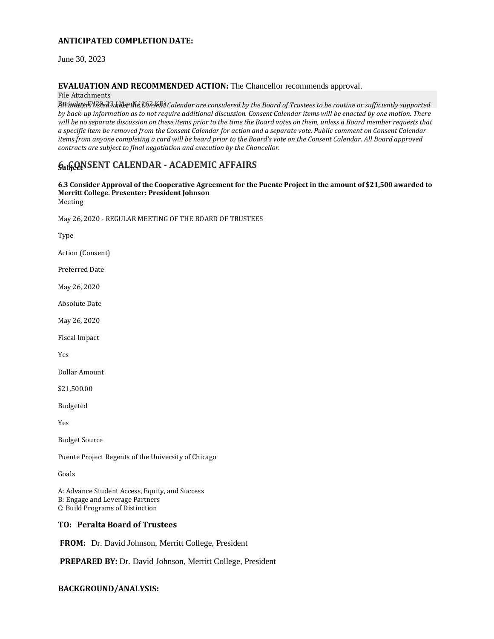### **ANTICIPATED COMPLETION DATE:**

June 30, 2023

### **EVALUATION AND RECOMMENDED ACTION:** The Chancellor recommends approval.

#### File Attachments

Berkeley *[All matters listed under the Consent C](https://go.boarddocs.com/ca/peralta/Board.nsf/files/BPRMQJ574FF6/$file/Berkeley%20FY20-23%20(1).pdf)alendar are considered by the Board of Trustees to be routine or sufficiently supported* FY20-23 (1).pdf (162 KB) *by back-up information as to not require additional discussion. Consent Calendar items will be enacted by one motion. There will be no separate discussion on these items prior to the time the Board votes on them, unless a Board member requests that a specific item be removed from the Consent Calendar for action and a separate vote. Public comment on Consent Calendar items from anyone completing a card will be heard prior to the Board's vote on the Consent Calendar. All Board approved contracts are subject to final negotiation and execution by the Chancellor.*

### **6. G.CONSENT CALENDAR - ACADEMIC AFFAIRS**

#### **6.3 Consider Approval of the Cooperative Agreement for the Puente Project in the amount of \$21,500 awarded to Merritt College. Presenter: President Johnson** Meeting

May 26, 2020 - REGULAR MEETING OF THE BOARD OF TRUSTEES

Type

Action (Consent)

Preferred Date

May 26, 2020

Absolute Date

May 26, 2020

Fiscal Impact

Yes

Dollar Amount

\$21,500.00

Budgeted

Yes

Budget Source

Puente Project Regents of the University of Chicago

Goals

A: Advance Student Access, Equity, and Success B: Engage and Leverage Partners C: Build Programs of Distinction

### **TO: Peralta Board of Trustees**

**FROM:** Dr. David Johnson, Merritt College, President

**PREPARED BY:** Dr. David Johnson, Merritt College, President

### **BACKGROUND/ANALYSIS:**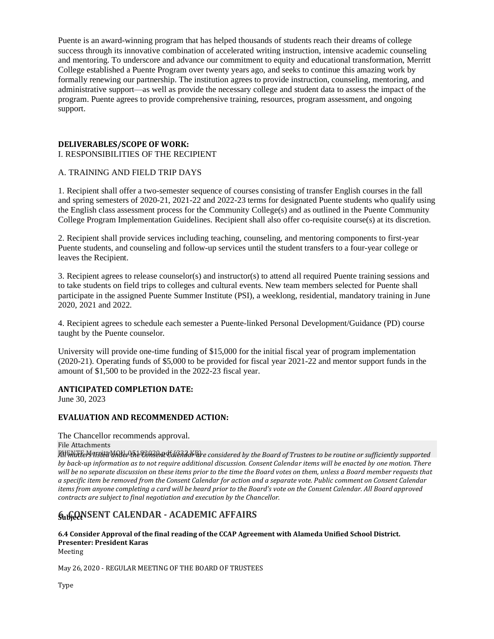Puente is an award-winning program that has helped thousands of students reach their dreams of college success through its innovative combination of accelerated writing instruction, intensive academic counseling and mentoring. To underscore and advance our commitment to equity and educational transformation, Merritt College established a Puente Program over twenty years ago, and seeks to continue this amazing work by formally renewing our partnership. The institution agrees to provide instruction, counseling, mentoring, and administrative support—as well as provide the necessary college and student data to assess the impact of the program. Puente agrees to provide comprehensive training, resources, program assessment, and ongoing support.

# **DELIVERABLES/SCOPE OF WORK:**

## I. RESPONSIBILITIES OF THE RECIPIENT

### A. TRAINING AND FIELD TRIP DAYS

1. Recipient shall offer a two-semester sequence of courses consisting of transfer English courses in the fall and spring semesters of 2020-21, 2021-22 and 2022-23 terms for designated Puente students who qualify using the English class assessment process for the Community College(s) and as outlined in the Puente Community College Program Implementation Guidelines. Recipient shall also offer co-requisite course(s) at its discretion.

2. Recipient shall provide services including teaching, counseling, and mentoring components to first-year Puente students, and counseling and follow-up services until the student transfers to a four-year college or leaves the Recipient.

3. Recipient agrees to release counselor(s) and instructor(s) to attend all required Puente training sessions and to take students on field trips to colleges and cultural events. New team members selected for Puente shall participate in the assigned Puente Summer Institute (PSI), a weeklong, residential, mandatory training in June 2020, 2021 and 2022.

4. Recipient agrees to schedule each semester a Puente-linked Personal Development/Guidance (PD) course taught by the Puente counselor.

University will provide one-time funding of \$15,000 for the initial fiscal year of program implementation (2020-21). Operating funds of \$5,000 to be provided for fiscal year 2021-22 and mentor support funds in the amount of \$1,500 to be provided in the 2022-23 fiscal year.

### **ANTICIPATED COMPLETION DATE:**

June 30, 2023

### **EVALUATION AND RECOMMENDED ACTION:**

The Chancellor recommends approval.

File Attachments

PUENTE *[All matters listed under the Consent Calendar are](https://go.boarddocs.com/ca/peralta/Board.nsf/files/BPR6L615676C/$file/PUENTE%20Merritt%20MOU_05182020.pdf) considered by the Board of Trustees to be routine or sufficiently supported* Merritt MOU\_05182020.pdf (332 KB) *by back-up information as to not require additional discussion. Consent Calendar items will be enacted by one motion. There will be no separate discussion on these items prior to the time the Board votes on them, unless a Board member requests that a specific item be removed from the Consent Calendar for action and a separate vote. Public comment on Consent Calendar items from anyone completing a card will be heard prior to the Board's vote on the Consent Calendar. All Board approved contracts are subject to final negotiation and execution by the Chancellor.*

## **6. CONSENT Subject CALENDAR - ACADEMIC AFFAIRS**

**6.4 Consider Approval of the final reading of the CCAP Agreement with Alameda Unified School District. Presenter: President Karas** Meeting

May 26, 2020 - REGULAR MEETING OF THE BOARD OF TRUSTEES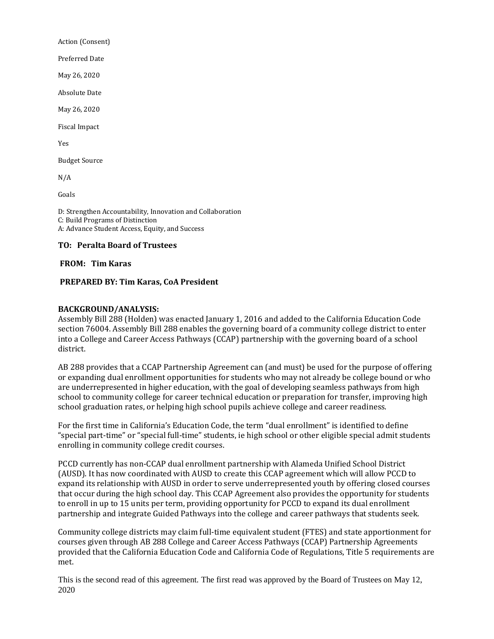Action (Consent)

Preferred Date

May 26, 2020

Absolute Date

May 26, 2020

Fiscal Impact

Yes

Budget Source

N/A

Goals

D: Strengthen Accountability, Innovation and Collaboration C: Build Programs of Distinction A: Advance Student Access, Equity, and Success

### **TO: Peralta Board of Trustees**

**FROM: Tim Karas**

### **PREPARED BY: Tim Karas, CoA President**

### **BACKGROUND/ANALYSIS:**

Assembly Bill 288 (Holden) was enacted January 1, 2016 and added to the California Education Code section 76004. Assembly Bill 288 enables the governing board of a community college district to enter into a College and Career Access Pathways (CCAP) partnership with the governing board of a school district.

AB 288 provides that a CCAP Partnership Agreement can (and must) be used for the purpose of offering or expanding dual enrollment opportunities for students who may not already be college bound or who are underrepresented in higher education, with the goal of developing seamless pathways from high school to community college for career technical education or preparation for transfer, improving high school graduation rates, or helping high school pupils achieve college and career readiness.

For the first time in California's Education Code, the term "dual enrollment" is identified to define "special part-time" or "special full-time" students, ie high school or other eligible special admit students enrolling in community college credit courses.

PCCD currently has non-CCAP dual enrollment partnership with Alameda Unified School District (AUSD). It has now coordinated with AUSD to create this CCAP agreement which will allow PCCD to expand its relationship with AUSD in order to serve underrepresented youth by offering closed courses that occur during the high school day. This CCAP Agreement also provides the opportunity for students to enroll in up to 15 units per term, providing opportunity for PCCD to expand its dual enrollment partnership and integrate Guided Pathways into the college and career pathways that students seek.

Community college districts may claim full-time equivalent student (FTES) and state apportionment for courses given through AB 288 College and Career Access Pathways (CCAP) Partnership Agreements provided that the California Education Code and California Code of Regulations, Title 5 requirements are met.

This is the second read of this agreement. The first read was approved by the Board of Trustees on May 12, 2020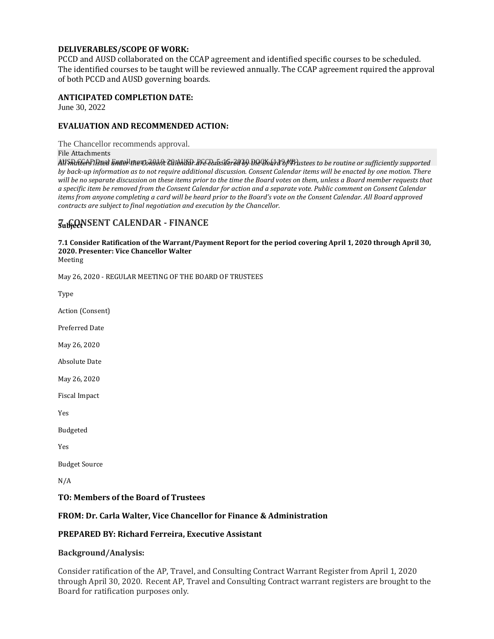### **DELIVERABLES/SCOPE OF WORK:**

PCCD and AUSD collaborated on the CCAP agreement and identified specific courses to be scheduled. The identified courses to be taught will be reviewed annually. The CCAP agreement rquired the approval of both PCCD and AUSD governing boards.

### **ANTICIPATED COMPLETION DATE:**

June 30, 2022

### **EVALUATION AND RECOMMENDED ACTION:**

The Chancellor recommends approval.

File Attachments

All <del>Mattels listed under the Consent Calenary are considered by the Board of Prustees to be routine or sufficiently supported</del> *by back-up information as to not require additional discussion. Consent Calendar items will be enacted by one motion. There will be no separate discussion on these items prior to the time the Board votes on them, unless a Board member requests that a specific item be removed from the Consent Calendar for action and a separate vote. Public comment on Consent Calendar items from anyone completing a card will be heard prior to the Board's vote on the Consent Calendar. All Board approved contracts are subject to final negotiation and execution by the Chancellor.*

## $\overline{S}_{\text{UL}}$ **GONSENT CALENDAR - FINANCE**

**7.1 Consider Ratification of the Warrant/Payment Report for the period covering April 1, 2020 through April 30, 2020. Presenter: Vice Chancellor Walter**

Meeting

May 26, 2020 - REGULAR MEETING OF THE BOARD OF TRUSTEES

Type

Action (Consent)

Preferred Date

May 26, 2020

Absolute Date

May 26, 2020

Fiscal Impact

Yes

Budgeted

Yes

Budget Source

N/A

### **TO: Members of the Board of Trustees**

### **FROM: Dr. Carla Walter, Vice Chancellor for Finance & Administration**

### **PREPARED BY: Richard Ferreira, Executive Assistant**

### **Background/Analysis:**

Consider ratification of the AP, Travel, and Consulting Contract Warrant Register from April 1, 2020 through April 30, 2020. Recent AP, Travel and Consulting Contract warrant registers are brought to the Board for ratification purposes only.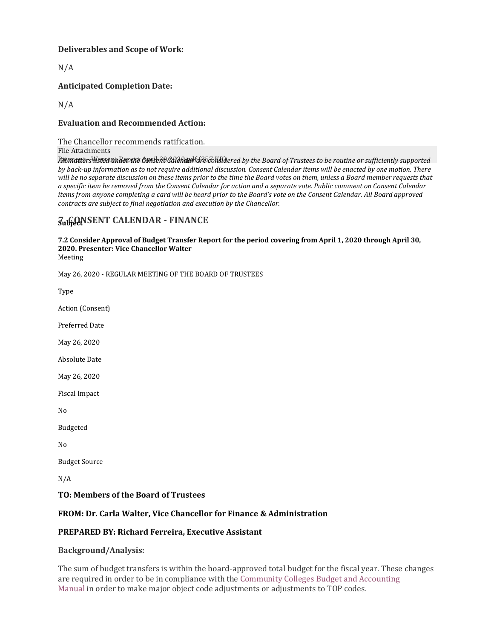### **Deliverables and Scope of Work:**

N/A

### **Anticipated Completion Date:**

N/A

### **Evaluation and Recommended Action:**

The Chancellor recommends ratification. File Attachments

Payment *[All matters listed under the Consent Calendar are conside](https://go.boarddocs.com/ca/peralta/Board.nsf/files/BPAU6Z7A99B6/$file/Payment%20-%20Warrant%20Report%20April%2030%202020.pdf)red by the Board of Trustees to be routine or sufficiently supported* - Warrant Report April 30 2020.pdf (357 KB) *by back-up information as to not require additional discussion. Consent Calendar items will be enacted by one motion. There will be no separate discussion on these items prior to the time the Board votes on them, unless a Board member requests that a specific item be removed from the Consent Calendar for action and a separate vote. Public comment on Consent Calendar items from anyone completing a card will be heard prior to the Board's vote on the Consent Calendar. All Board approved contracts are subject to final negotiation and execution by the Chancellor.*

## $\overline{S}_{\text{UL}}$ **GONSENT CALENDAR - FINANCE**

**7.2 Consider Approval of Budget Transfer Report for the period covering from April 1, 2020 through April 30, 2020. Presenter: Vice Chancellor Walter**

Meeting

May 26, 2020 - REGULAR MEETING OF THE BOARD OF TRUSTEES

Type Action (Consent)

Preferred Date

May 26, 2020

Absolute Date

May 26, 2020

Fiscal Impact

No

Budgeted

No

Budget Source

N/A

### **TO: Members of the Board of Trustees**

### **FROM: Dr. Carla Walter, Vice Chancellor for Finance & Administration**

### **PREPARED BY: Richard Ferreira, Executive Assistant**

### **Background/Analysis:**

The sum of budget transfers is within the board-approved total budget for the fiscal year. These changes are required in order to be in compliance with the [Community](https://www.cccco.edu/-/media/CCCCO-Website/Files/Finance-and-Facilities/budget-and-accounting-manual-2012-edition-ada.ashx?la=en&hash=8D0B20749805F8DFEA3C3AFD2FDF0096A5361EB2) Colleges Budget and Accounting [Manual](https://www.cccco.edu/-/media/CCCCO-Website/Files/Finance-and-Facilities/budget-and-accounting-manual-2012-edition-ada.ashx?la=en&hash=8D0B20749805F8DFEA3C3AFD2FDF0096A5361EB2) in order to make major object code adjustments or adjustments to TOP codes.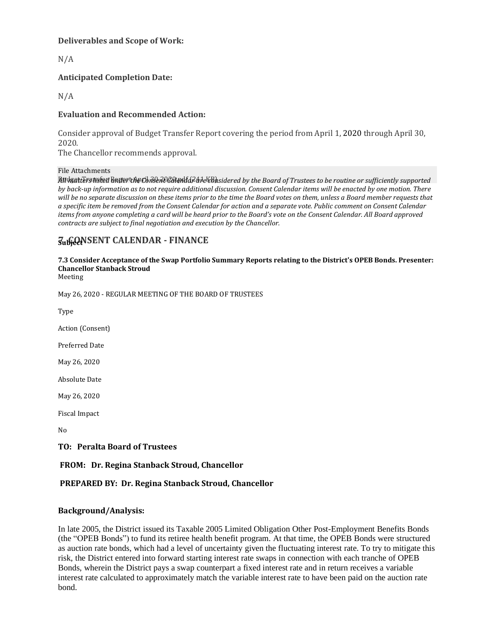### **Deliverables and Scope of Work:**

N/A

### **Anticipated Completion Date:**

N/A

### **Evaluation and Recommended Action:**

Consider approval of Budget Transfer Report covering the period from April 1, 2020 through April 30, 2020.

The Chancellor recommends approval.

### File Attachments

Budget *[All matters listed under the Consent Calendar are cons](https://go.boarddocs.com/ca/peralta/Board.nsf/files/BPAUB47B333D/$file/Budget%20Transfer%20Report%20April%2030%202020.pdf)ider* Transfer Report April 30 2020.pdf (241 KB) *ed by the Board of Trustees to be routine or sufficiently supported by back-up information as to not require additional discussion. Consent Calendar items will be enacted by one motion. There will be no separate discussion on these items prior to the time the Board votes on them, unless a Board member requests that a specific item be removed from the Consent Calendar for action and a separate vote. Public comment on Consent Calendar items from anyone completing a card will be heard prior to the Board's vote on the Consent Calendar. All Board approved contracts are subject to final negotiation and execution by the Chancellor.*

## **7. GONSENT CALENDAR - FINANCE**

#### **7.3 Consider Acceptance of the Swap Portfolio Summary Reports relating to the District's OPEB Bonds. Presenter: Chancellor Stanback Stroud** Meeting

May 26, 2020 - REGULAR MEETING OF THE BOARD OF TRUSTEES

Type Action (Consent) Preferred Date May 26, 2020 Absolute Date May 26, 2020 Fiscal Impact No **TO: Peralta Board of Trustees**

**FROM: Dr. Regina Stanback Stroud, Chancellor**

### **PREPARED BY: Dr. Regina Stanback Stroud, Chancellor**

### **Background/Analysis:**

In late 2005, the District issued its Taxable 2005 Limited Obligation Other Post-Employment Benefits Bonds (the "OPEB Bonds") to fund its retiree health benefit program. At that time, the OPEB Bonds were structured as auction rate bonds, which had a level of uncertainty given the fluctuating interest rate. To try to mitigate this risk, the District entered into forward starting interest rate swaps in connection with each tranche of OPEB Bonds, wherein the District pays a swap counterpart a fixed interest rate and in return receives a variable interest rate calculated to approximately match the variable interest rate to have been paid on the auction rate bond.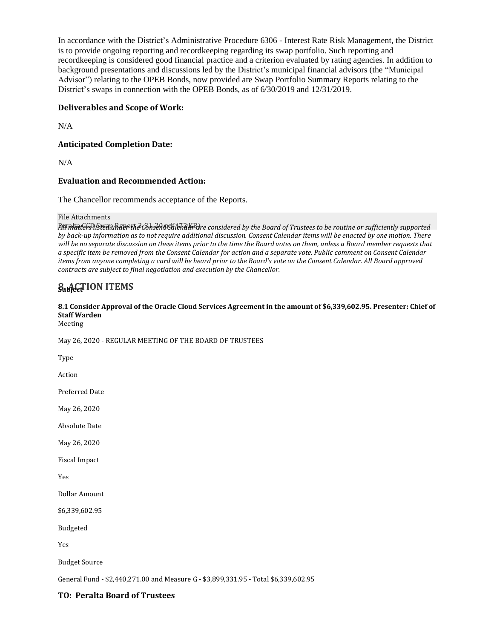In accordance with the District's Administrative Procedure 6306 - Interest Rate Risk Management, the District is to provide ongoing reporting and recordkeeping regarding its swap portfolio. Such reporting and recordkeeping is considered good financial practice and a criterion evaluated by rating agencies. In addition to background presentations and discussions led by the District's municipal financial advisors (the "Municipal Advisor") relating to the OPEB Bonds, now provided are Swap Portfolio Summary Reports relating to the District's swaps in connection with the OPEB Bonds, as of 6/30/2019 and 12/31/2019.

### **Deliverables and Scope of Work:**

N/A

### **Anticipated Completion Date:**

N/A

### **Evaluation and Recommended Action:**

The Chancellor recommends acceptance of the Reports.

#### File Attachments

Peralta *[All matters listed under the Consent Calendar ar](https://go.boarddocs.com/ca/peralta/Board.nsf/files/BPQ7VK1B784F/$file/Peralta%20CCD%20Swap%20Report%203-31-20.pdf)e considered by the Board of Trustees to be routine or sufficiently supported* CCD Swap Report 3-31-20.pdf (72 KB) *by back-up information as to not require additional discussion. Consent Calendar items will be enacted by one motion. There will be no separate discussion on these items prior to the time the Board votes on them, unless a Board member requests that a specific item be removed from the Consent Calendar for action and a separate vote. Public comment on Consent Calendar items from anyone completing a card will be heard prior to the Board's vote on the Consent Calendar. All Board approved contracts are subject to final negotiation and execution by the Chancellor.*

## **8. Better Subject ION ITEMS**

### **8.1 Consider Approval of the Oracle Cloud Services Agreement in the amount of \$6,339,602.95. Presenter: Chief of Staff Warden**

Meeting

May 26, 2020 - REGULAR MEETING OF THE BOARD OF TRUSTEES

Type

Action

Preferred Date

May 26, 2020

Absolute Date

May 26, 2020

Fiscal Impact

Yes

Dollar Amount

\$6,339,602.95

Budgeted

Yes

Budget Source

General Fund - \$2,440,271.00 and Measure G - \$3,899,331.95 - Total \$6,339,602.95

**TO: Peralta Board of Trustees**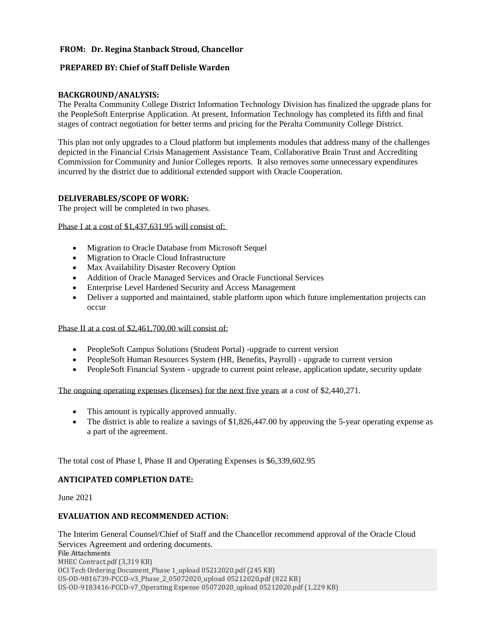### **FROM: Dr. Regina Stanback Stroud, Chancellor**

### **PREPARED BY: Chief of Staff Delisle Warden**

### **BACKGROUND/ANALYSIS:**

The Peralta Community College District Information Technology Division has finalized the upgrade plans for the PeopleSoft Enterprise Application. At present, Information Technology has completed its fifth and final stages of contract negotiation for better terms and pricing for the Peralta Community College District.

This plan not only upgrades to a Cloud platform but implements modules that address many of the challenges depicted in the Financial Crisis Management Assistance Team, Collaborative Brain Trust and Accrediting Commission for Community and Junior Colleges reports. It also removes some unnecessary expenditures incurred by the district due to additional extended support with Oracle Cooperation.

### **DELIVERABLES/SCOPE OF WORK:**

The project will be completed in two phases.

Phase I at a cost of \$1,437,631.95 will consist of:

- Migration to Oracle Database from Microsoft Sequel
- Migration to Oracle Cloud Infrastructure
- Max Availability Disaster Recovery Option
- Addition of Oracle Managed Services and Oracle Functional Services
- Enterprise Level Hardened Security and Access Management
- Deliver a supported and maintained, stable platform upon which future implementation projects can occur

### Phase II at a cost of \$2,461,700.00 will consist of:

- PeopleSoft Campus Solutions (Student Portal) -upgrade to current version
- PeopleSoft Human Resources System (HR, Benefits, Payroll) upgrade to current version
- PeopleSoft Financial System upgrade to current point release, application update, security update

### The ongoing operating expenses (licenses) for the next five years at a cost of \$2,440,271.

- This amount is typically approved annually.
- The district is able to realize a savings of \$1,826,447.00 by approving the 5-year operating expense as a part of the agreement.

The total cost of Phase I, Phase II and Operating Expenses is \$6,339,602.95

### **ANTICIPATED COMPLETION DATE:**

June 2021

### **EVALUATION AND RECOMMENDED ACTION:**

The Interim General Counsel/Chief of Staff and the Chancellor recommend approval of the Oracle Cloud Services Agreement and ordering documents. File Attachments MHEC [Contract.pdf](https://go.boarddocs.com/ca/peralta/Board.nsf/files/BPKQER67F9F2/$file/MHEC%20Contract.pdf) (3,319 KB) OCI Tech Ordering [Document\\_Phase](https://go.boarddocs.com/ca/peralta/Board.nsf/files/BPTRHQ6E1703/$file/OCI%20Tech%20Ordering%20Document_Phase%201_upload%2005212020.pdf) 1\_upload 05212020.pdf (245 KB) [US-OD-9816739-PCCD-v3\\_Phase\\_2\\_05072020\\_upload](https://go.boarddocs.com/ca/peralta/Board.nsf/files/BPTRHS6E1B75/$file/US-OD-9816739-PCCD-v3_Phase_2_05072020_upload%2005212020.pdf) 05212020.pdf (822 KB) [US-OD-9183416-PCCD-v7\\_Operating](https://go.boarddocs.com/ca/peralta/Board.nsf/files/BPTRHY6E1FE3/$file/US-OD-9183416-PCCD-v7_Operating%20Expense%2005072020_upload%2005212020.pdf) Expense 05072020\_upload 05212020.pdf (1,229 KB)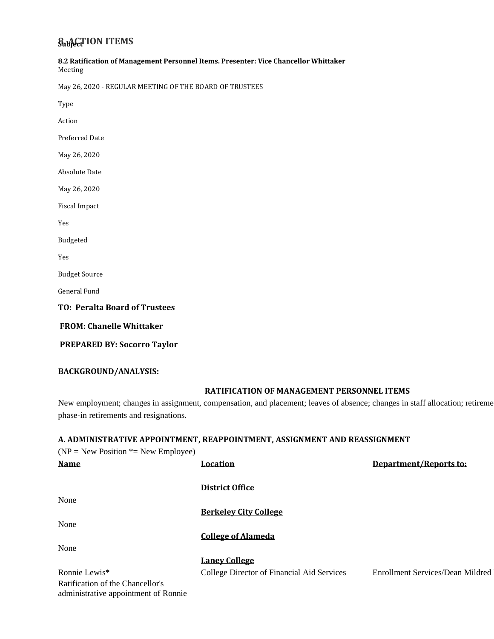## **8. ACTION ITEMS Subject**

| 8.2 Ratification of Management Personnel Items. Presenter: Vice Chancellor Whittaker |  |
|--------------------------------------------------------------------------------------|--|
| Meeting                                                                              |  |

May 26, 2020 - REGULAR MEETING OF THE BOARD OF TRUSTEES

Type

Action

Preferred Date

May 26, 2020

Absolute Date

May 26, 2020

Fiscal Impact

Yes

Budgeted

Yes

Budget Source

General Fund

**TO: Peralta Board of Trustees**

**FROM: Chanelle Whittaker**

**PREPARED BY: Socorro Taylor**

#### **BACKGROUND/ANALYSIS:**

### **RATIFICATION OF MANAGEMENT PERSONNEL ITEMS**

New employment; changes in assignment, compensation, and placement; leaves of absence; changes in staff allocation; retireme phase-in retirements and resignations.

### **A. ADMINISTRATIVE APPOINTMENT, REAPPOINTMENT, ASSIGNMENT AND REASSIGNMENT**

| $(NP = New Position * = New Employee)$ |                                            |                                         |
|----------------------------------------|--------------------------------------------|-----------------------------------------|
| <b>Name</b>                            | Location                                   | Department/Reports to:                  |
|                                        |                                            |                                         |
|                                        | <b>District Office</b>                     |                                         |
| None                                   |                                            |                                         |
|                                        | <b>Berkeley City College</b>               |                                         |
| None                                   |                                            |                                         |
|                                        | <b>College of Alameda</b>                  |                                         |
| None                                   |                                            |                                         |
|                                        | <b>Laney College</b>                       |                                         |
| Ronnie Lewis*                          | College Director of Financial Aid Services | <b>Enrollment Services/Dean Mildred</b> |
| Ratification of the Chancellor's       |                                            |                                         |
| administrative appointment of Ronnie   |                                            |                                         |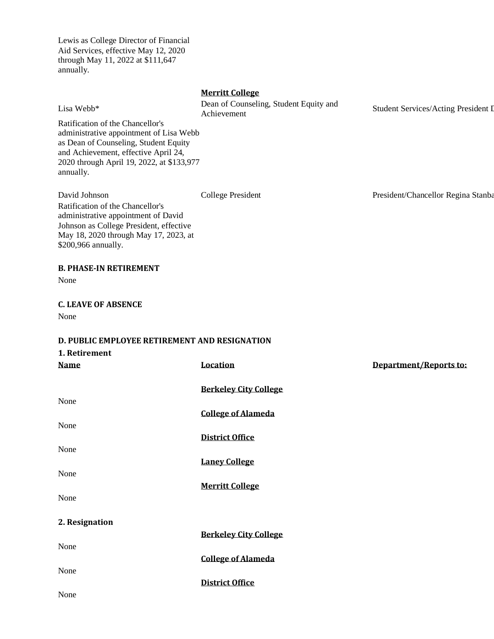Lewis as College Director of Financial Aid Services, effective May 12, 2020 through May 11, 2022 at \$111,647 annually.

| Lisa Webb*<br>Ratification of the Chancellor's<br>administrative appointment of Lisa Webb<br>as Dean of Counseling, Student Equity<br>and Achievement, effective April 24,<br>2020 through April 19, 2022, at \$133,977<br>annually. | <b>Merritt College</b><br>Dean of Counseling, Student Equity and<br>Achievement | Student Services/Acting President I |
|--------------------------------------------------------------------------------------------------------------------------------------------------------------------------------------------------------------------------------------|---------------------------------------------------------------------------------|-------------------------------------|
| David Johnson<br>Ratification of the Chancellor's<br>administrative appointment of David<br>Johnson as College President, effective<br>May 18, 2020 through May 17, 2023, at<br>\$200,966 annually.                                  | <b>College President</b>                                                        | President/Chancellor Regina Stanba  |
| <b>B. PHASE-IN RETIREMENT</b><br>None                                                                                                                                                                                                |                                                                                 |                                     |
| <b>C. LEAVE OF ABSENCE</b><br>None                                                                                                                                                                                                   |                                                                                 |                                     |
| D. PUBLIC EMPLOYEE RETIREMENT AND RESIGNATION<br>1. Retirement                                                                                                                                                                       |                                                                                 |                                     |
| <b>Name</b>                                                                                                                                                                                                                          | <b>Location</b>                                                                 | Department/Reports to:              |
| None                                                                                                                                                                                                                                 | <b>Berkeley City College</b>                                                    |                                     |
|                                                                                                                                                                                                                                      |                                                                                 |                                     |
|                                                                                                                                                                                                                                      | <b>College of Alameda</b>                                                       |                                     |
| None                                                                                                                                                                                                                                 | <b>District Office</b>                                                          |                                     |
| None                                                                                                                                                                                                                                 | <b>Laney College</b>                                                            |                                     |
| None<br>None                                                                                                                                                                                                                         | <b>Merritt College</b>                                                          |                                     |
| 2. Resignation                                                                                                                                                                                                                       |                                                                                 |                                     |
| None                                                                                                                                                                                                                                 | <b>Berkeley City College</b>                                                    |                                     |
| None                                                                                                                                                                                                                                 | <b>College of Alameda</b><br><b>District Office</b>                             |                                     |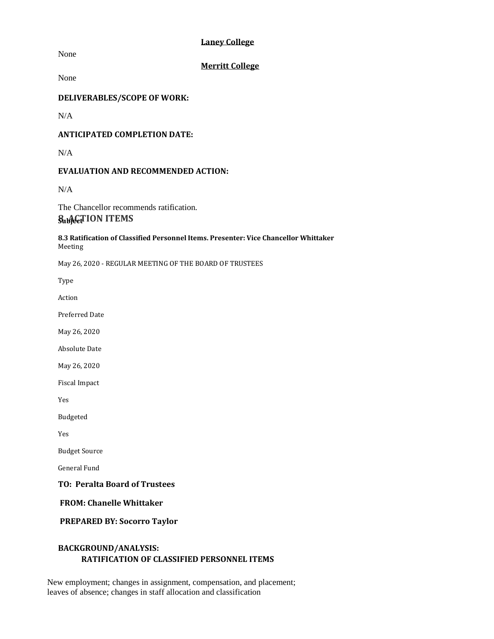### **Laney College**

None

**Merritt College**

None

### **DELIVERABLES/SCOPE OF WORK:**

 $N/A$ 

### **ANTICIPATED COMPLETION DATE:**

N/A

### **EVALUATION AND RECOMMENDED ACTION:**

N/A

The Chancellor recommends ratification. **8. ACTION ITEMS** 

#### **8.3 Ratification of Classified Personnel Items. Presenter: Vice Chancellor Whittaker** Meeting

May 26, 2020 - REGULAR MEETING OF THE BOARD OF TRUSTEES

Type

Action

Preferred Date

May 26, 2020

Absolute Date

May 26, 2020

Fiscal Impact

Yes

Budgeted

Yes

Budget Source

General Fund

**TO: Peralta Board of Trustees**

**FROM: Chanelle Whittaker**

### **PREPARED BY: Socorro Taylor**

### **BACKGROUND/ANALYSIS: RATIFICATION OF CLASSIFIED PERSONNEL ITEMS**

New employment; changes in assignment, compensation, and placement; leaves of absence; changes in staff allocation and classification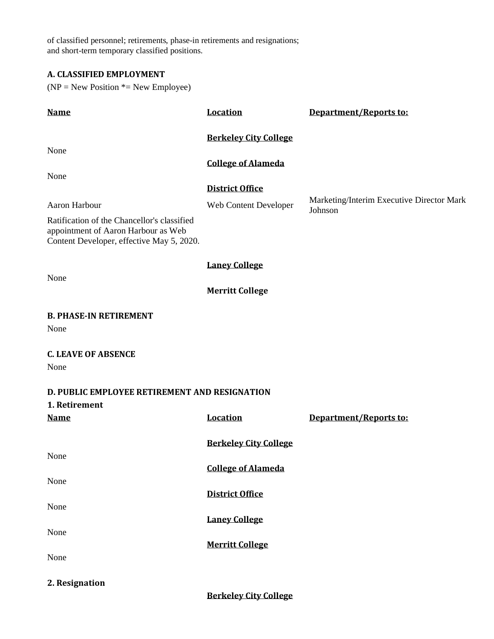of classified personnel; retirements, phase-in retirements and resignations; and short-term temporary classified positions.

### **A. CLASSIFIED EMPLOYMENT**

 $(NP = New Position * = New Employee)$ 

| <b>Name</b>                                                                                                                     | <b>Location</b>              | <b>Department/Reports to:</b>                        |
|---------------------------------------------------------------------------------------------------------------------------------|------------------------------|------------------------------------------------------|
|                                                                                                                                 | <b>Berkeley City College</b> |                                                      |
| None                                                                                                                            |                              |                                                      |
| None                                                                                                                            | <b>College of Alameda</b>    |                                                      |
|                                                                                                                                 | <b>District Office</b>       |                                                      |
| Aaron Harbour                                                                                                                   | Web Content Developer        | Marketing/Interim Executive Director Mark<br>Johnson |
| Ratification of the Chancellor's classified<br>appointment of Aaron Harbour as Web<br>Content Developer, effective May 5, 2020. |                              |                                                      |
|                                                                                                                                 | <b>Laney College</b>         |                                                      |
| None                                                                                                                            | <b>Merritt College</b>       |                                                      |
| <b>B. PHASE-IN RETIREMENT</b>                                                                                                   |                              |                                                      |
| None                                                                                                                            |                              |                                                      |
| <b>C. LEAVE OF ABSENCE</b>                                                                                                      |                              |                                                      |
| None                                                                                                                            |                              |                                                      |
| <b>D. PUBLIC EMPLOYEE RETIREMENT AND RESIGNATION</b>                                                                            |                              |                                                      |
| 1. Retirement                                                                                                                   |                              |                                                      |
| <b>Name</b>                                                                                                                     | <b>Location</b>              | <b>Department/Reports to:</b>                        |
|                                                                                                                                 | <b>Berkeley City College</b> |                                                      |
| None                                                                                                                            |                              |                                                      |
| None                                                                                                                            | <b>College of Alameda</b>    |                                                      |
|                                                                                                                                 | <b>District Office</b>       |                                                      |
| None                                                                                                                            | <b>Laney College</b>         |                                                      |
| None                                                                                                                            |                              |                                                      |
|                                                                                                                                 | <b>Merritt College</b>       |                                                      |
| None                                                                                                                            |                              |                                                      |
| 2. Resignation                                                                                                                  |                              |                                                      |

**Berkeley City College**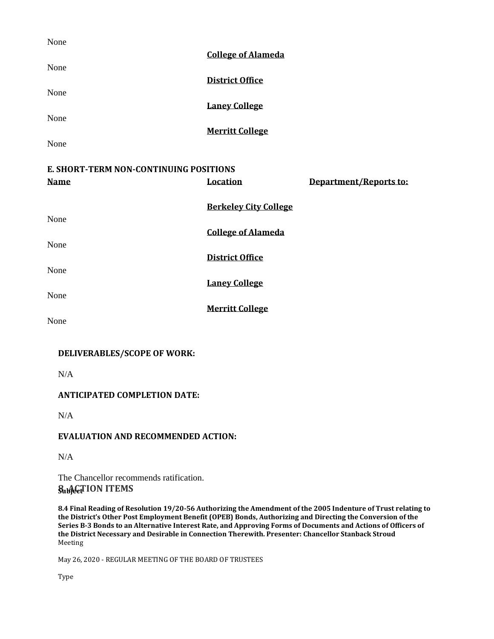| None |                           |
|------|---------------------------|
|      | <b>College of Alameda</b> |
| None |                           |
|      | <b>District Office</b>    |
| None |                           |
|      | <b>Laney College</b>      |
| None |                           |
|      | <b>Merritt College</b>    |
| None |                           |

# **E. SHORT-TERM NON-CONTINUING POSITIONS Name Location Department/Reports to: Berkeley City College** None **College of Alameda** None **District Office** None **Laney College** None **Merritt College** None

### **DELIVERABLES/SCOPE OF WORK:**

N/A

### **ANTICIPATED COMPLETION DATE:**

 $N/A$ 

### **EVALUATION AND RECOMMENDED ACTION:**

N/A

The Chancellor recommends ratification. **8. ACTION ITEMS Subject**

**8.4 Final Reading of Resolution 19/20-56 Authorizing the Amendment of the 2005 Indenture of Trust relating to the District's Other Post Employment Benefit (OPEB) Bonds, Authorizing and Directing the Conversion of the Series B-3 Bonds to an Alternative Interest Rate, and Approving Forms of Documents and Actions of Officers of the District Necessary and Desirable in Connection Therewith. Presenter: Chancellor Stanback Stroud** Meeting

May 26, 2020 - REGULAR MEETING OF THE BOARD OF TRUSTEES

Type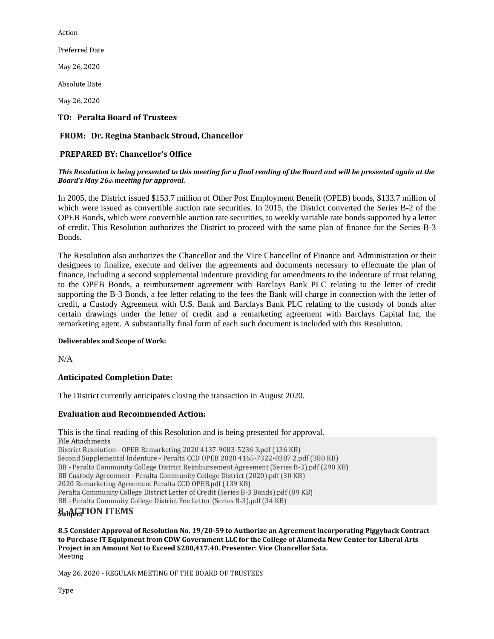Action

Preferred Date

May 26, 2020

Absolute Date

May 26, 2020

### **TO: Peralta Board of Trustees**

### **FROM: Dr. Regina Stanback Stroud, Chancellor**

### **PREPARED BY: Chancellor's Office**

### This Resolution is being presented to this meeting for a final reading of the Board and will be presented again at the *Board's May 26th meeting for approval.*

In 2005, the District issued \$153.7 million of Other Post Employment Benefit (OPEB) bonds, \$133.7 million of which were issued as convertible auction rate securities. In 2015, the District converted the Series B-2 of the OPEB Bonds, which were convertible auction rate securities, to weekly variable rate bonds supported by a letter of credit. This Resolution authorizes the District to proceed with the same plan of finance for the Series B-3 Bonds.

The Resolution also authorizes the Chancellor and the Vice Chancellor of Finance and Administration or their designees to finalize, execute and deliver the agreements and documents necessary to effectuate the plan of finance, including a second supplemental indenture providing for amendments to the indenture of trust relating to the OPEB Bonds, a reimbursement agreement with Barclays Bank PLC relating to the letter of credit supporting the B-3 Bonds, a fee letter relating to the fees the Bank will charge in connection with the letter of credit, a Custody Agreement with U.S. Bank and Barclays Bank PLC relating to the custody of bonds after certain drawings under the letter of credit and a remarketing agreement with Barclays Capital Inc, the remarketing agent. A substantially final form of each such document is included with this Resolution.

### **Deliverables and Scope of Work:**

N/A

### **Anticipated Completion Date:**

The District currently anticipates closing the transaction in August 2020.

### **Evaluation and Recommended Action:**

This is the final reading of this Resolution and is being presented for approval. File Attachments District Resolution - OPEB Remarketing 2020 [4137-9083-5236](https://go.boarddocs.com/ca/peralta/Board.nsf/files/BPR2XC043577/$file/District%20Resolution%20-%20OPEB%20Remarketing%202020%204137-9083-5236%203.pdf) 3.pdf (136 KB) Second Supplemental Indenture - Peralta CCD OPEB 2020 [4165-7322-0387](https://go.boarddocs.com/ca/peralta/Board.nsf/files/BPR2X9043575/$file/Second%20Supplemental%20Indenture%20-%20Peralta%20CCD%20OPEB%202020%204165-7322-0387%202.pdf) 2.pdf (380 KB) BB - Peralta Community College District [Reimbursement](https://go.boarddocs.com/ca/peralta/Board.nsf/files/BPR2X6043574/$file/BB%20-%20Peralta%20Community%20College%20District%20Reimbursement%20Agreement%20(Series%20B-3).pdf) Agreement (Series B-3).pdf (290 KB) BB Custody Agreement - Peralta [Community](https://go.boarddocs.com/ca/peralta/Board.nsf/files/BPR2XF043578/$file/BB%20Custody%20Agreement%20-%20Peralta%20Community%20College%20District%20(2020).pdf) College District (2020).pdf (30 KB) 2020 [Remarketing](https://go.boarddocs.com/ca/peralta/Board.nsf/files/BPR2X3043572/$file/2020%20Remarketing%20Agreement%20Peralta%20CCD%20OPEB.pdf) Agreement Peralta CCD OPEB.pdf (139 KB) Peralta [Community](https://go.boarddocs.com/ca/peralta/Board.nsf/files/BPR2WY043571/$file/Peralta%20Community%20College%20District%20Letter%20of%20Credit%20(Series%20B-3%20Bonds).pdf) College District Letter of Credit (Series B-3 Bonds).pdf (89 KB) BB - Peralta [Commuity](https://go.boarddocs.com/ca/peralta/Board.nsf/files/BPR2WV043570/$file/BB%20-%20Peralta%20Commuity%20College%20District%20Fee%20Letter%20(Series%20B-3).pdf) College District Fee Letter (Series B-3).pdf (34 KB) **8. ACTION ITEMS Subject**

**8.5 Consider Approval of Resolution No. 19/20-59 to Authorize an Agreement Incorporating Piggyback Contract to Purchase IT Equipment from CDW Government LLC for the College of Alameda New Center for Liberal Arts Project in an Amount Not to Exceed \$280,417.40. Presenter: Vice Chancellor Sata.** Meeting

May 26, 2020 - REGULAR MEETING OF THE BOARD OF TRUSTEES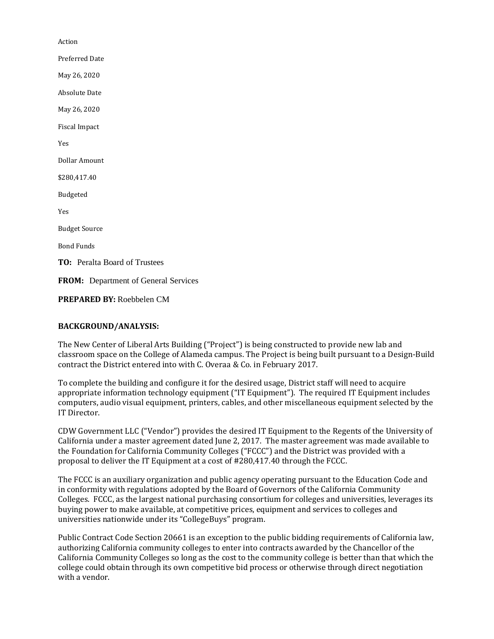Action Preferred Date May 26, 2020 Absolute Date May 26, 2020 Fiscal Impact Yes Dollar Amount \$280,417.40 Budgeted Yes Budget Source Bond Funds **TO:** Peralta Board of Trustees **FROM:** Department of General Services

**PREPARED BY:** Roebbelen CM

### **BACKGROUND/ANALYSIS:**

The New Center of Liberal Arts Building ("Project") is being constructed to provide new lab and classroom space on the College of Alameda campus. The Project is being built pursuant to a Design-Build contract the District entered into with C. Overaa & Co. in February 2017.

To complete the building and configure it for the desired usage, District staff will need to acquire appropriate information technology equipment ("IT Equipment"). The required IT Equipment includes computers, audio visual equipment, printers, cables, and other miscellaneous equipment selected by the IT Director.

CDW Government LLC ("Vendor") provides the desired IT Equipment to the Regents of the University of California under a master agreement dated June 2, 2017. The master agreement was made available to the Foundation for California Community Colleges ("FCCC") and the District was provided with a proposal to deliver the IT Equipment at a cost of #280,417.40 through the FCCC.

The FCCC is an auxiliary organization and public agency operating pursuant to the Education Code and in conformity with regulations adopted by the Board of Governors of the California Community Colleges. FCCC, as the largest national purchasing consortium for colleges and universities, leverages its buying power to make available, at competitive prices, equipment and services to colleges and universities nationwide under its "CollegeBuys" program.

Public Contract Code Section 20661 is an exception to the public bidding requirements of California law, authorizing California community colleges to enter into contracts awarded by the Chancellor of the California Community Colleges so long as the cost to the community college is better than that which the college could obtain through its own competitive bid process or otherwise through direct negotiation with a vendor.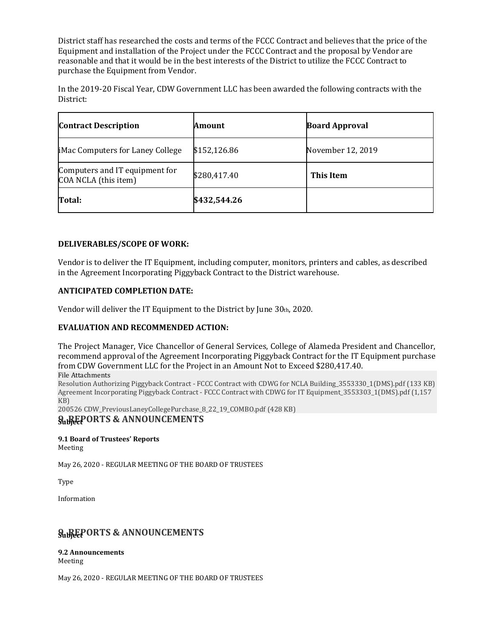District staff has researched the costs and terms of the FCCC Contract and believes that the price of the Equipment and installation of the Project under the FCCC Contract and the proposal by Vendor are reasonable and that it would be in the best interests of the District to utilize the FCCC Contract to purchase the Equipment from Vendor.

In the 2019-20 Fiscal Year, CDW Government LLC has been awarded the following contracts with the District:

| <b>Contract Description</b>                            | Amount       | <b>Board Approval</b> |
|--------------------------------------------------------|--------------|-----------------------|
| iMac Computers for Laney College                       | \$152,126.86 | November 12, 2019     |
| Computers and IT equipment for<br>COA NCLA (this item) | \$280,417.40 | This Item             |
| Total:                                                 | \$432,544.26 |                       |

### **DELIVERABLES/SCOPE OF WORK:**

Vendor is to deliver the IT Equipment, including computer, monitors, printers and cables, as described in the Agreement Incorporating Piggyback Contract to the District warehouse.

### **ANTICIPATED COMPLETION DATE:**

Vendor will deliver the IT Equipment to the District by June 30th, 2020.

### **EVALUATION AND RECOMMENDED ACTION:**

The Project Manager, Vice Chancellor of General Services, College of Alameda President and Chancellor, recommend approval of the Agreement Incorporating Piggyback Contract for the IT Equipment purchase from CDW Government LLC for the Project in an Amount Not to Exceed \$280,417.40.

File Attachments

Resolution Authorizing Piggyback Contract - FCCC Contract with CDWG for NCLA [Building\\_3553330\\_1\(DMS\).pdf](https://go.boarddocs.com/ca/peralta/Board.nsf/files/BPL74G17C9C3/$file/Resolution%20Authorizing%20Piggyback%20Contract%20-%20FCCC%20Contract%20with%20CDWG%20for%20NCLA%20Building_3553330_1(DMS).pdf) (133 KB) Agreement Incorporating Piggyback Contract - FCCC Contract with CDWG for IT [Equipment\\_3553303\\_1\(DMS\).pdf](https://go.boarddocs.com/ca/peralta/Board.nsf/files/BPL75217DF54/$file/Agreement%20Incorporating%20Piggyback%20Contract%20-%20FCCC%20Contract%20with%20CDWG%20for%20IT%20Equipment_3553303_1(DMS).pdf) (1,157 [KB\)](https://go.boarddocs.com/ca/peralta/Board.nsf/files/BPL75217DF54/$file/Agreement%20Incorporating%20Piggyback%20Contract%20-%20FCCC%20Contract%20with%20CDWG%20for%20IT%20Equipment_3553303_1(DMS).pdf)

200526 [CDW\\_PreviousLaneyCollegePurchase\\_8\\_22\\_19\\_COMBO.pdf](https://go.boarddocs.com/ca/peralta/Board.nsf/files/BPRM5Y546308/$file/200526%20CDW_PreviousLaneyCollegePurchase_8_22_19_COMBO.pdf) (428 KB)

### **9. REPORTS & ANNOUNCEMENTS**

### **9.1 Board of Trustees' Reports**

Meeting

May 26, 2020 - REGULAR MEETING OF THE BOARD OF TRUSTEES

Type

Information

### **9. REPORTS & ANNOUNCEMENTS**

**9.2 Announcements** Meeting

May 26, 2020 - REGULAR MEETING OF THE BOARD OF TRUSTEES